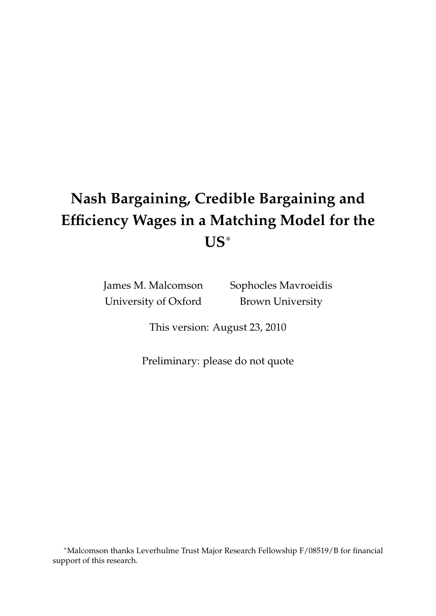# **Nash Bargaining, Credible Bargaining and Efficiency Wages in a Matching Model for the US**

James M. Malcomson University of Oxford

Sophocles Mavroeidis Brown University

This version: August 23, 2010

Preliminary: please do not quote

Malcomson thanks Leverhulme Trust Major Research Fellowship F/08519/B for financial support of this research.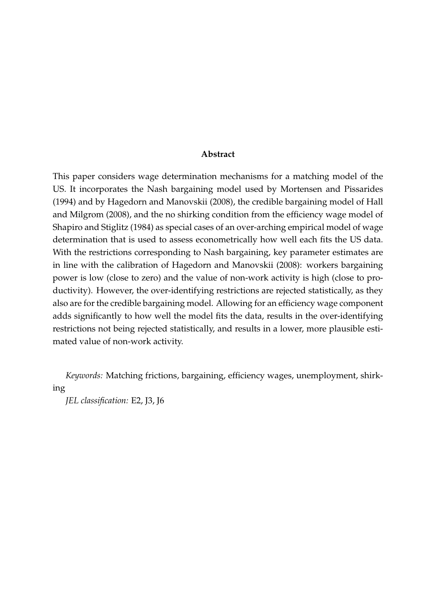#### **Abstract**

This paper considers wage determination mechanisms for a matching model of the US. It incorporates the Nash bargaining model used by Mortensen and Pissarides (1994) and by Hagedorn and Manovskii (2008), the credible bargaining model of Hall and Milgrom (2008), and the no shirking condition from the efficiency wage model of Shapiro and Stiglitz (1984) as special cases of an over-arching empirical model of wage determination that is used to assess econometrically how well each fits the US data. With the restrictions corresponding to Nash bargaining, key parameter estimates are in line with the calibration of Hagedorn and Manovskii (2008): workers bargaining power is low (close to zero) and the value of non-work activity is high (close to productivity). However, the over-identifying restrictions are rejected statistically, as they also are for the credible bargaining model. Allowing for an efficiency wage component adds significantly to how well the model fits the data, results in the over-identifying restrictions not being rejected statistically, and results in a lower, more plausible estimated value of non-work activity.

*Keywords:* Matching frictions, bargaining, efficiency wages, unemployment, shirking

*JEL classification:* E2, J3, J6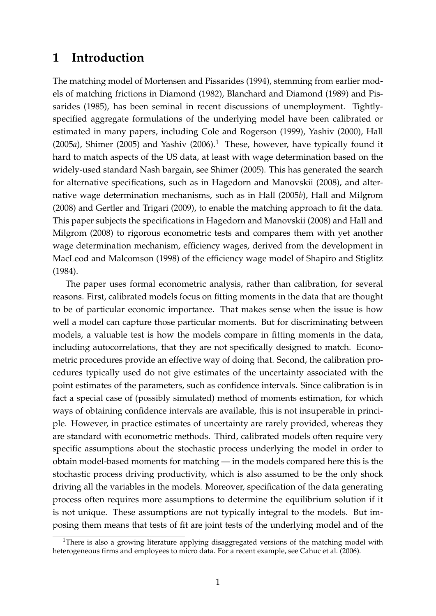### **1 Introduction**

The matching model of Mortensen and Pissarides (1994), stemming from earlier models of matching frictions in Diamond (1982), Blanchard and Diamond (1989) and Pissarides (1985), has been seminal in recent discussions of unemployment. Tightlyspecified aggregate formulations of the underlying model have been calibrated or estimated in many papers, including Cole and Rogerson (1999), Yashiv (2000), Hall  $(2005a)$ , Shimer  $(2005)$  and Yashiv  $(2006).$ <sup>1</sup> These, however, have typically found it hard to match aspects of the US data, at least with wage determination based on the widely-used standard Nash bargain, see Shimer (2005). This has generated the search for alternative specifications, such as in Hagedorn and Manovskii (2008), and alternative wage determination mechanisms, such as in Hall (2005*b*), Hall and Milgrom (2008) and Gertler and Trigari (2009), to enable the matching approach to fit the data. This paper subjects the specifications in Hagedorn and Manovskii (2008) and Hall and Milgrom (2008) to rigorous econometric tests and compares them with yet another wage determination mechanism, efficiency wages, derived from the development in MacLeod and Malcomson (1998) of the efficiency wage model of Shapiro and Stiglitz (1984).

The paper uses formal econometric analysis, rather than calibration, for several reasons. First, calibrated models focus on fitting moments in the data that are thought to be of particular economic importance. That makes sense when the issue is how well a model can capture those particular moments. But for discriminating between models, a valuable test is how the models compare in fitting moments in the data, including autocorrelations, that they are not specifically designed to match. Econometric procedures provide an effective way of doing that. Second, the calibration procedures typically used do not give estimates of the uncertainty associated with the point estimates of the parameters, such as confidence intervals. Since calibration is in fact a special case of (possibly simulated) method of moments estimation, for which ways of obtaining confidence intervals are available, this is not insuperable in principle. However, in practice estimates of uncertainty are rarely provided, whereas they are standard with econometric methods. Third, calibrated models often require very specific assumptions about the stochastic process underlying the model in order to obtain model-based moments for matching — in the models compared here this is the stochastic process driving productivity, which is also assumed to be the only shock driving all the variables in the models. Moreover, specification of the data generating process often requires more assumptions to determine the equilibrium solution if it is not unique. These assumptions are not typically integral to the models. But imposing them means that tests of fit are joint tests of the underlying model and of the

<sup>&</sup>lt;sup>1</sup>There is also a growing literature applying disaggregated versions of the matching model with heterogeneous firms and employees to micro data. For a recent example, see Cahuc et al. (2006).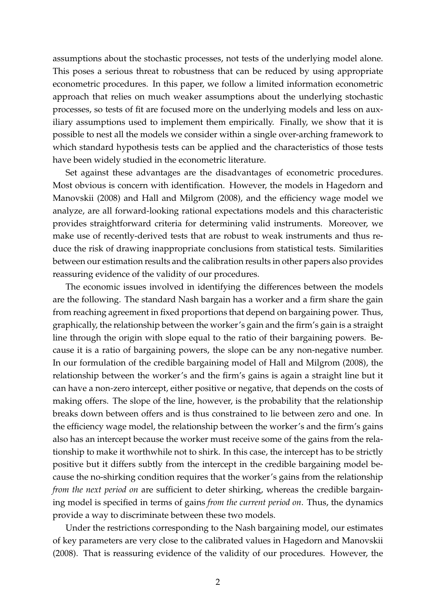assumptions about the stochastic processes, not tests of the underlying model alone. This poses a serious threat to robustness that can be reduced by using appropriate econometric procedures. In this paper, we follow a limited information econometric approach that relies on much weaker assumptions about the underlying stochastic processes, so tests of fit are focused more on the underlying models and less on auxiliary assumptions used to implement them empirically. Finally, we show that it is possible to nest all the models we consider within a single over-arching framework to which standard hypothesis tests can be applied and the characteristics of those tests have been widely studied in the econometric literature.

Set against these advantages are the disadvantages of econometric procedures. Most obvious is concern with identification. However, the models in Hagedorn and Manovskii (2008) and Hall and Milgrom (2008), and the efficiency wage model we analyze, are all forward-looking rational expectations models and this characteristic provides straightforward criteria for determining valid instruments. Moreover, we make use of recently-derived tests that are robust to weak instruments and thus reduce the risk of drawing inappropriate conclusions from statistical tests. Similarities between our estimation results and the calibration results in other papers also provides reassuring evidence of the validity of our procedures.

The economic issues involved in identifying the differences between the models are the following. The standard Nash bargain has a worker and a firm share the gain from reaching agreement in fixed proportions that depend on bargaining power. Thus, graphically, the relationship between the worker's gain and the firm's gain is a straight line through the origin with slope equal to the ratio of their bargaining powers. Because it is a ratio of bargaining powers, the slope can be any non-negative number. In our formulation of the credible bargaining model of Hall and Milgrom (2008), the relationship between the worker's and the firm's gains is again a straight line but it can have a non-zero intercept, either positive or negative, that depends on the costs of making offers. The slope of the line, however, is the probability that the relationship breaks down between offers and is thus constrained to lie between zero and one. In the efficiency wage model, the relationship between the worker's and the firm's gains also has an intercept because the worker must receive some of the gains from the relationship to make it worthwhile not to shirk. In this case, the intercept has to be strictly positive but it differs subtly from the intercept in the credible bargaining model because the no-shirking condition requires that the worker's gains from the relationship *from the next period on* are sufficient to deter shirking, whereas the credible bargaining model is specified in terms of gains *from the current period on*. Thus, the dynamics provide a way to discriminate between these two models.

Under the restrictions corresponding to the Nash bargaining model, our estimates of key parameters are very close to the calibrated values in Hagedorn and Manovskii (2008). That is reassuring evidence of the validity of our procedures. However, the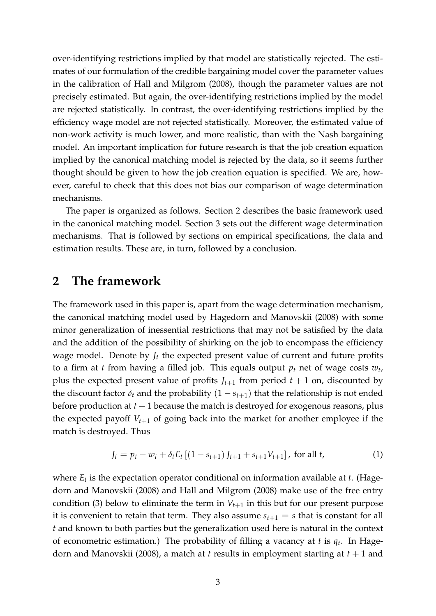over-identifying restrictions implied by that model are statistically rejected. The estimates of our formulation of the credible bargaining model cover the parameter values in the calibration of Hall and Milgrom (2008), though the parameter values are not precisely estimated. But again, the over-identifying restrictions implied by the model are rejected statistically. In contrast, the over-identifying restrictions implied by the efficiency wage model are not rejected statistically. Moreover, the estimated value of non-work activity is much lower, and more realistic, than with the Nash bargaining model. An important implication for future research is that the job creation equation implied by the canonical matching model is rejected by the data, so it seems further thought should be given to how the job creation equation is specified. We are, however, careful to check that this does not bias our comparison of wage determination mechanisms.

The paper is organized as follows. Section 2 describes the basic framework used in the canonical matching model. Section 3 sets out the different wage determination mechanisms. That is followed by sections on empirical specifications, the data and estimation results. These are, in turn, followed by a conclusion.

### **2 The framework**

The framework used in this paper is, apart from the wage determination mechanism, the canonical matching model used by Hagedorn and Manovskii (2008) with some minor generalization of inessential restrictions that may not be satisfied by the data and the addition of the possibility of shirking on the job to encompass the efficiency wage model. Denote by  $J_t$  the expected present value of current and future profits to a firm at *t* from having a filled job. This equals output *p<sup>t</sup>* net of wage costs *w<sup>t</sup>* , plus the expected present value of profits  $J_{t+1}$  from period  $t+1$  on, discounted by the discount factor  $\delta_t$  and the probability  $(1 - s_{t+1})$  that the relationship is not ended before production at  $t + 1$  because the match is destroyed for exogenous reasons, plus the expected payoff  $V_{t+1}$  of going back into the market for another employee if the match is destroyed. Thus

$$
J_t = p_t - w_t + \delta_t E_t \left[ (1 - s_{t+1}) J_{t+1} + s_{t+1} V_{t+1} \right], \text{ for all } t,
$$
 (1)

where *E<sup>t</sup>* is the expectation operator conditional on information available at *t*. (Hagedorn and Manovskii (2008) and Hall and Milgrom (2008) make use of the free entry condition (3) below to eliminate the term in  $V_{t+1}$  in this but for our present purpose it is convenient to retain that term. They also assume  $s_{t+1} = s$  that is constant for all *t* and known to both parties but the generalization used here is natural in the context of econometric estimation.) The probability of filling a vacancy at *t* is *q<sup>t</sup>* . In Hagedorn and Manovskii (2008), a match at *t* results in employment starting at *t* + 1 and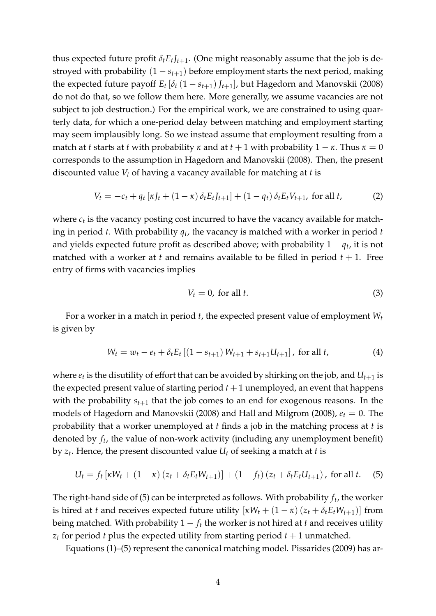thus expected future profit  $\delta_t E_t J_{t+1}$ . (One might reasonably assume that the job is destroyed with probability  $(1 - s_{t+1})$  before employment starts the next period, making the expected future payoff  $E_t [\delta_t (1 - s_{t+1})]_{t+1}$ , but Hagedorn and Manovskii (2008) do not do that, so we follow them here. More generally, we assume vacancies are not subject to job destruction.) For the empirical work, we are constrained to using quarterly data, for which a one-period delay between matching and employment starting may seem implausibly long. So we instead assume that employment resulting from a match at *t* starts at *t* with probability  $\kappa$  and at  $t + 1$  with probability  $1 - \kappa$ . Thus  $\kappa = 0$ corresponds to the assumption in Hagedorn and Manovskii (2008). Then, the present discounted value *V<sup>t</sup>* of having a vacancy available for matching at *t* is

$$
V_t = -c_t + q_t [ \kappa J_t + (1 - \kappa) \delta_t E_t J_{t+1} ] + (1 - q_t) \delta_t E_t V_{t+1}, \text{ for all } t,
$$
 (2)

where  $c_t$  is the vacancy posting cost incurred to have the vacancy available for matching in period *t*. With probability *q<sup>t</sup>* , the vacancy is matched with a worker in period *t* and yields expected future profit as described above; with probability  $1 - q_t$ , it is not matched with a worker at *t* and remains available to be filled in period  $t + 1$ . Free entry of firms with vacancies implies

$$
V_t = 0, \text{ for all } t. \tag{3}
$$

For a worker in a match in period *t*, the expected present value of employment *W<sup>t</sup>* is given by

$$
W_t = w_t - e_t + \delta_t E_t \left[ (1 - s_{t+1}) W_{t+1} + s_{t+1} U_{t+1} \right], \text{ for all } t,
$$
 (4)

where  $e_t$  is the disutility of effort that can be avoided by shirking on the job, and  $U_{t+1}$  is the expected present value of starting period  $t + 1$  unemployed, an event that happens with the probability  $s_{t+1}$  that the job comes to an end for exogenous reasons. In the models of Hagedorn and Manovskii (2008) and Hall and Milgrom (2008), *e<sup>t</sup>* = 0. The probability that a worker unemployed at *t* finds a job in the matching process at *t* is denoted by *f<sup>t</sup>* , the value of non-work activity (including any unemployment benefit) by *z<sup>t</sup>* . Hence, the present discounted value *U<sup>t</sup>* of seeking a match at *t* is

$$
U_t = f_t \left[ \kappa W_t + (1 - \kappa) (z_t + \delta_t E_t W_{t+1}) \right] + (1 - f_t) (z_t + \delta_t E_t U_{t+1}), \text{ for all } t.
$$
 (5)

The right-hand side of (5) can be interpreted as follows. With probability  $f_t$ , the worker is hired at *t* and receives expected future utility  $[\kappa W_t + (1 - \kappa) (z_t + \delta_t E_t W_{t+1})]$  from being matched. With probability  $1 - f_t$  the worker is not hired at *t* and receives utility  $z_t$  for period *t* plus the expected utility from starting period  $t + 1$  unmatched.

Equations (1)–(5) represent the canonical matching model. Pissarides (2009) has ar-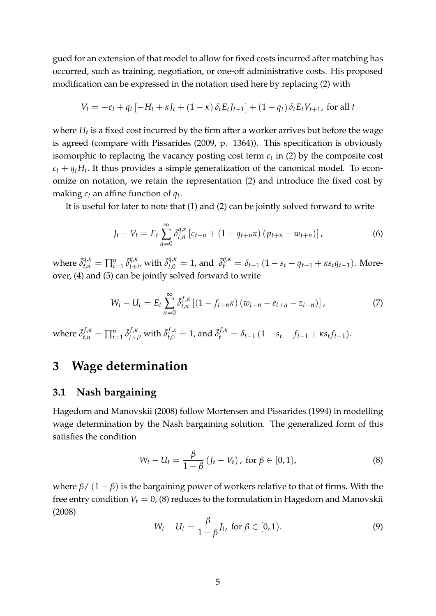gued for an extension of that model to allow for fixed costs incurred after matching has occurred, such as training, negotiation, or one-off administrative costs. His proposed modification can be expressed in the notation used here by replacing (2) with

$$
V_t = -c_t + q_t [-H_t + \kappa J_t + (1 - \kappa) \delta_t E_t J_{t+1}] + (1 - q_t) \delta_t E_t V_{t+1},
$$
 for all  $t$ 

where *H<sup>t</sup>* is a fixed cost incurred by the firm after a worker arrives but before the wage is agreed (compare with Pissarides (2009, p. 1364)). This specification is obviously isomorphic to replacing the vacancy posting cost term *c<sup>t</sup>* in (2) by the composite cost  $c_t + q_t H_t$ . It thus provides a simple generalization of the canonical model. To economize on notation, we retain the representation (2) and introduce the fixed cost by making *c<sup>t</sup>* an affine function of *q<sup>t</sup>* .

It is useful for later to note that (1) and (2) can be jointly solved forward to write

$$
J_t - V_t = E_t \sum_{n=0}^{\infty} \bar{\delta}_{t,n}^{q,\kappa} \left[ c_{t+n} + (1 - q_{t+n}\kappa) \left( p_{t+n} - w_{t+n} \right) \right], \tag{6}
$$

where  $\bar{\delta}^{q,\kappa}_{t,n} = \prod_{i=1}^n \bar{\delta}^{q,\kappa}_{t+1}$  $a_{t+i}^{\bar{q},\kappa}$  with  $\bar{\delta}^{q,\kappa}_{t,0} = 1$ , and  $\bar{\delta}^{q,\kappa}_t = \delta_{t-1} (1 - s_t - q_{t-1} + \kappa s_t q_{t-1})$ . Moreover, (4) and (5) can be jointly solved forward to write

$$
W_t - U_t = E_t \sum_{n=0}^{\infty} \bar{\delta}_{t,n}^{f,\kappa} \left[ (1 - f_{t+n}\kappa) \left( w_{t+n} - e_{t+n} - z_{t+n} \right) \right], \tag{7}
$$

where  $\bar{\delta}_{t,n}^{f,\kappa} = \prod_{i=1}^n \bar{\delta}_{t+i}^{f,\kappa}$  $f_{t+i}^{f,\kappa}$  with  $\bar{\delta}_{t,0}^{f,\kappa} = 1$ , and  $\bar{\delta}_{t}^{f,\kappa} = \delta_{t-1} (1 - s_t - f_{t-1} + \kappa s_t f_{t-1}).$ 

### **3 Wage determination**

#### **3.1 Nash bargaining**

Hagedorn and Manovskii (2008) follow Mortensen and Pissarides (1994) in modelling wage determination by the Nash bargaining solution. The generalized form of this satisfies the condition

$$
W_t - U_t = \frac{\beta}{1 - \beta} (J_t - V_t), \text{ for } \beta \in [0, 1), \tag{8}
$$

where  $β/(1-β)$  is the bargaining power of workers relative to that of firms. With the free entry condition  $V_t = 0$ , (8) reduces to the formulation in Hagedorn and Manovskii (2008)

$$
W_t - U_t = \frac{\beta}{1 - \beta} J_t, \text{ for } \beta \in [0, 1).
$$
 (9)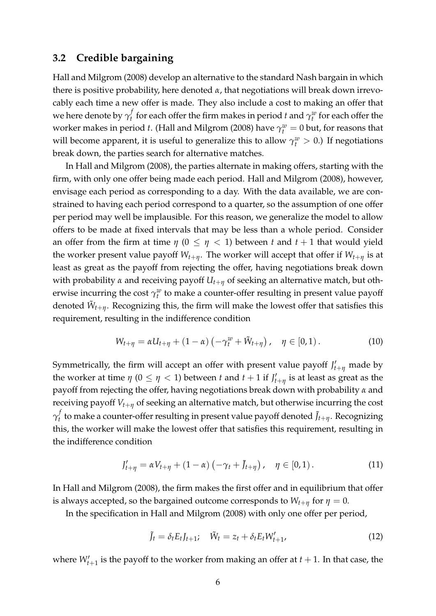#### **3.2 Credible bargaining**

Hall and Milgrom (2008) develop an alternative to the standard Nash bargain in which there is positive probability, here denoted  $\alpha$ , that negotiations will break down irrevocably each time a new offer is made. They also include a cost to making an offer that we here denote by  $\gamma^f_t$  $\sigma_t^f$  for each offer the firm makes in period *t* and  $\gamma_t^w$  for each offer the worker makes in period *t*. (Hall and Milgrom (2008) have  $\gamma_t^w = 0$  but, for reasons that will become apparent, it is useful to generalize this to allow  $\gamma_t^w > 0$ .) If negotiations break down, the parties search for alternative matches.

In Hall and Milgrom (2008), the parties alternate in making offers, starting with the firm, with only one offer being made each period. Hall and Milgrom (2008), however, envisage each period as corresponding to a day. With the data available, we are constrained to having each period correspond to a quarter, so the assumption of one offer per period may well be implausible. For this reason, we generalize the model to allow offers to be made at fixed intervals that may be less than a whole period. Consider an offer from the firm at time  $\eta$  ( $0 \leq \eta$  < 1) between *t* and  $t + 1$  that would yield the worker present value payoff  $W_{t+n}$ . The worker will accept that offer if  $W_{t+n}$  is at least as great as the payoff from rejecting the offer, having negotiations break down with probability *α* and receiving payoff *Ut*+*<sup>η</sup>* of seeking an alternative match, but otherwise incurring the cost  $\gamma_t^w$  to make a counter-offer resulting in present value payoff denoted  $\tilde{W}_{t+\eta}$ . Recognizing this, the firm will make the lowest offer that satisfies this requirement, resulting in the indifference condition

$$
W_{t+\eta} = \alpha U_{t+\eta} + (1-\alpha) \left( -\gamma_t^w + \tilde{W}_{t+\eta} \right), \quad \eta \in [0,1).
$$
 (10)

Symmetrically, the firm will accept an offer with present value payoff  $J'_{t+\eta}$  made by the worker at time  $\eta$  ( $0 \leq \eta < 1$ ) between  $t$  and  $t + 1$  if  $J'_{t+\eta}$  is at least as great as the payoff from rejecting the offer, having negotiations break down with probability *α* and receiving payoff *Vt*+*<sup>η</sup>* of seeking an alternative match, but otherwise incurring the cost *γ f*  $\tilde{J}_t$  to make a counter-offer resulting in present value payoff denoted  $\tilde{J}_{t+\eta}$ . Recognizing this, the worker will make the lowest offer that satisfies this requirement, resulting in the indifference condition

$$
J'_{t+\eta} = \alpha V_{t+\eta} + (1-\alpha) \left( -\gamma_t + \tilde{J}_{t+\eta} \right), \quad \eta \in [0,1).
$$
 (11)

In Hall and Milgrom (2008), the firm makes the first offer and in equilibrium that offer is always accepted, so the bargained outcome corresponds to  $W_{t+\eta}$  for  $\eta = 0$ .

In the specification in Hall and Milgrom (2008) with only one offer per period,

$$
\tilde{J}_t = \delta_t E_t J_{t+1}; \quad \tilde{W}_t = z_t + \delta_t E_t W'_{t+1}, \tag{12}
$$

where  $W'_{t+1}$  is the payoff to the worker from making an offer at  $t+1$ . In that case, the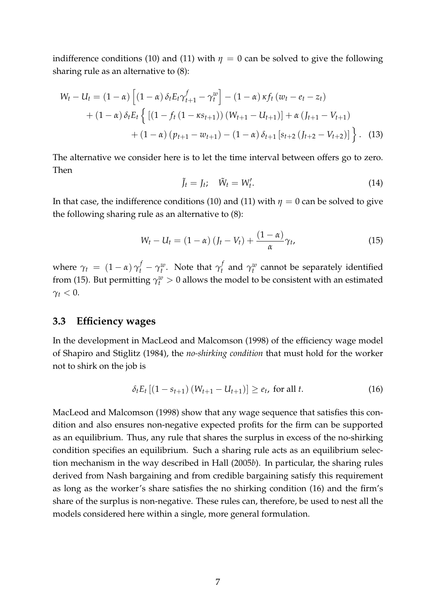indifference conditions (10) and (11) with  $\eta = 0$  can be solved to give the following sharing rule as an alternative to (8):

$$
W_t - U_t = (1 - \alpha) \left[ (1 - \alpha) \delta_t E_t \gamma_{t+1}^f - \gamma_t^w \right] - (1 - \alpha) \kappa f_t (w_t - e_t - z_t)
$$
  
+ 
$$
(1 - \alpha) \delta_t E_t \left\{ \left[ (1 - f_t (1 - \kappa s_{t+1})) (W_{t+1} - U_{t+1}) \right] + \alpha (J_{t+1} - V_{t+1})
$$
  
+ 
$$
(1 - \alpha) (p_{t+1} - w_{t+1}) - (1 - \alpha) \delta_{t+1} [s_{t+2} (J_{t+2} - V_{t+2})] \right\}.
$$
 (13)

The alternative we consider here is to let the time interval between offers go to zero. Then

$$
\tilde{J}_t = J_t; \quad \tilde{W}_t = W'_t. \tag{14}
$$

In that case, the indifference conditions (10) and (11) with  $\eta = 0$  can be solved to give the following sharing rule as an alternative to (8):

$$
W_t - U_t = (1 - \alpha) (J_t - V_t) + \frac{(1 - \alpha)}{\alpha} \gamma_t,
$$
\n(15)

where  $\gamma_t = (1 - \alpha) \gamma_t^f - \gamma_t^w$ . Note that  $\gamma_t^f$  $\gamma_t^t$  and  $\gamma_t^w$  cannot be separately identified from (15). But permitting  $\gamma_t^w > 0$  allows the model to be consistent with an estimated  $\gamma_t < 0$ .

#### **3.3 Efficiency wages**

In the development in MacLeod and Malcomson (1998) of the efficiency wage model of Shapiro and Stiglitz (1984), the *no-shirking condition* that must hold for the worker not to shirk on the job is

$$
\delta_t E_t [(1 - s_{t+1}) (W_{t+1} - U_{t+1})] \ge e_t, \text{ for all } t. \tag{16}
$$

MacLeod and Malcomson (1998) show that any wage sequence that satisfies this condition and also ensures non-negative expected profits for the firm can be supported as an equilibrium. Thus, any rule that shares the surplus in excess of the no-shirking condition specifies an equilibrium. Such a sharing rule acts as an equilibrium selection mechanism in the way described in Hall (2005*b*). In particular, the sharing rules derived from Nash bargaining and from credible bargaining satisfy this requirement as long as the worker's share satisfies the no shirking condition (16) and the firm's share of the surplus is non-negative. These rules can, therefore, be used to nest all the models considered here within a single, more general formulation.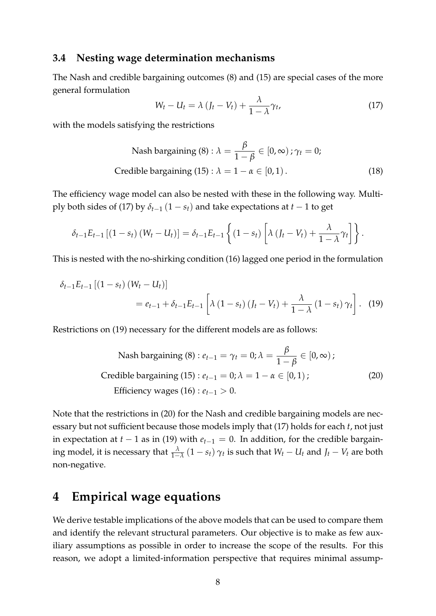#### **3.4 Nesting wage determination mechanisms**

The Nash and credible bargaining outcomes (8) and (15) are special cases of the more general formulation

$$
W_t - U_t = \lambda \left( J_t - V_t \right) + \frac{\lambda}{1 - \lambda} \gamma_t, \tag{17}
$$

with the models satisfying the restrictions

Nash bargaining (8) : 
$$
\lambda = \frac{\beta}{1 - \beta} \in [0, \infty)
$$
;  $\gamma_t = 0$ ;  
Credible bargaining (15) :  $\lambda = 1 - \alpha \in [0, 1)$ . (18)

The efficiency wage model can also be nested with these in the following way. Multiply both sides of (17) by  $\delta_{t-1}$  (1 –  $s_t$ ) and take expectations at  $t-1$  to get

$$
\delta_{t-1}E_{t-1}\left[\left(1-s_t\right)\left(W_t-U_t\right)\right]=\delta_{t-1}E_{t-1}\left\{\left(1-s_t\right)\left[\lambda\left(J_t-V_t\right)+\frac{\lambda}{1-\lambda}\gamma_t\right]\right\}.
$$

This is nested with the no-shirking condition (16) lagged one period in the formulation

$$
\delta_{t-1} E_{t-1} [(1 - s_t) (W_t - U_t)]
$$
  
=  $e_{t-1} + \delta_{t-1} E_{t-1} \left[ \lambda (1 - s_t) (J_t - V_t) + \frac{\lambda}{1 - \lambda} (1 - s_t) \gamma_t \right].$  (19)

Restrictions on (19) necessary for the different models are as follows:

Nash bargaining (8) : 
$$
e_{t-1} = \gamma_t = 0
$$
;  $\lambda = \frac{\beta}{1-\beta} \in [0, \infty)$ ;  
Credible bargaining (15) :  $e_{t-1} = 0$ ;  $\lambda = 1 - \alpha \in [0, 1)$ ;  
Efficiency wages (16) :  $e_{t-1} > 0$ . (20)

Note that the restrictions in (20) for the Nash and credible bargaining models are necessary but not sufficient because those models imply that (17) holds for each *t*, not just in expectation at  $t - 1$  as in (19) with  $e_{t-1} = 0$ . In addition, for the credible bargaining model, it is necessary that  $\frac{\lambda}{1-\lambda}(1-s_t)\gamma_t$  is such that  $W_t-U_t$  and  $J_t-V_t$  are both non-negative.

### **4 Empirical wage equations**

We derive testable implications of the above models that can be used to compare them and identify the relevant structural parameters. Our objective is to make as few auxiliary assumptions as possible in order to increase the scope of the results. For this reason, we adopt a limited-information perspective that requires minimal assump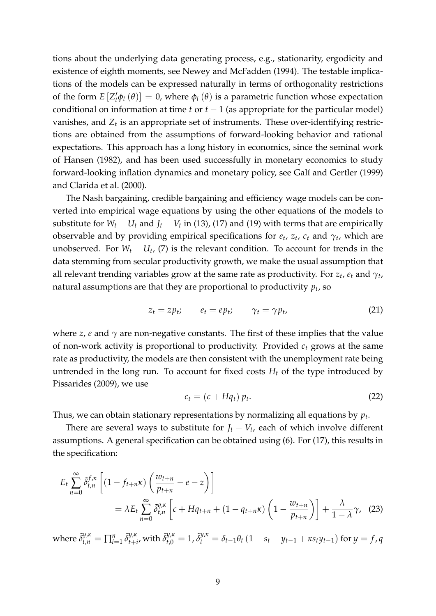tions about the underlying data generating process, e.g., stationarity, ergodicity and existence of eighth moments, see Newey and McFadden (1994). The testable implications of the models can be expressed naturally in terms of orthogonality restrictions of the form  $E[Z_t'\phi_t(\theta)] = 0$ , where  $\phi_t(\theta)$  is a parametric function whose expectation conditional on information at time  $t$  or  $t - 1$  (as appropriate for the particular model) vanishes, and  $Z_t$  is an appropriate set of instruments. These over-identifying restrictions are obtained from the assumptions of forward-looking behavior and rational expectations. This approach has a long history in economics, since the seminal work of Hansen (1982), and has been used successfully in monetary economics to study forward-looking inflation dynamics and monetary policy, see Galí and Gertler (1999) and Clarida et al. (2000).

The Nash bargaining, credible bargaining and efficiency wage models can be converted into empirical wage equations by using the other equations of the models to substitute for  $W_t - U_t$  and  $J_t - V_t$  in (13), (17) and (19) with terms that are empirically observable and by providing empirical specifications for  $e_t$ ,  $z_t$ ,  $c_t$  and  $\gamma_t$ , which are unobserved. For  $W_t - U_t$ , (7) is the relevant condition. To account for trends in the data stemming from secular productivity growth, we make the usual assumption that all relevant trending variables grow at the same rate as productivity. For *z<sup>t</sup>* , *e<sup>t</sup>* and *γ<sup>t</sup>* , natural assumptions are that they are proportional to productivity  $p_t$ , so

$$
z_t = z p_t; \qquad e_t = e p_t; \qquad \gamma_t = \gamma p_t, \tag{21}
$$

where *z*, *e* and  $\gamma$  are non-negative constants. The first of these implies that the value of non-work activity is proportional to productivity. Provided *c<sup>t</sup>* grows at the same rate as productivity, the models are then consistent with the unemployment rate being untrended in the long run. To account for fixed costs  $H_t$  of the type introduced by Pissarides (2009), we use

$$
c_t = (c + Hq_t) p_t. \tag{22}
$$

Thus, we can obtain stationary representations by normalizing all equations by *p<sup>t</sup>* .

There are several ways to substitute for  $J_t - V_t$ , each of which involve different assumptions. A general specification can be obtained using (6). For (17), this results in the specification:

$$
E_t \sum_{n=0}^{\infty} \tilde{\delta}_{t,n}^{f,\kappa} \left[ (1 - f_{t+n}\kappa) \left( \frac{w_{t+n}}{p_{t+n}} - e - z \right) \right]
$$
  
=  $\lambda E_t \sum_{n=0}^{\infty} \tilde{\delta}_{t,n}^{q,\kappa} \left[ c + H q_{t+n} + (1 - q_{t+n}\kappa) \left( 1 - \frac{w_{t+n}}{p_{t+n}} \right) \right] + \frac{\lambda}{1 - \lambda} \gamma$ , (23)

where  $\tilde{\delta}^{y,\kappa}_{t,n} = \prod_{i=1}^n \tilde{\delta}^{y,\kappa}_{t+i}$  $\int_{t+i\prime}^{y,\kappa} \mathbf{w} \mathrm{ith} \ \tilde{\delta}^{y,\kappa}_{t,0} = 1$ ,  $\tilde{\delta}^{y,\kappa}_t = \delta_{t-1} \theta_t \left(1 - s_t - y_{t-1} + \kappa s_t y_{t-1}\right)$  for  $y = f$ , q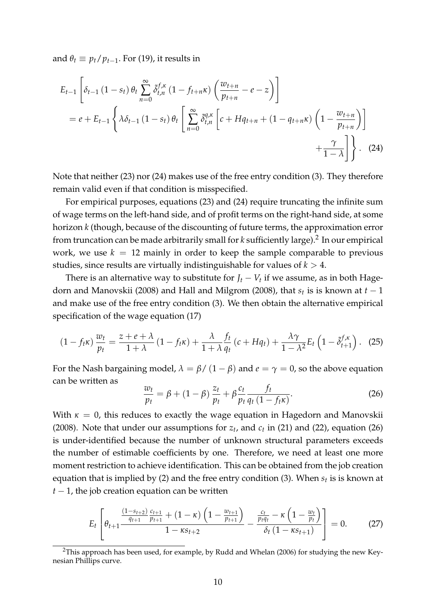and  $\theta_t \equiv p_t/p_{t-1}$ . For (19), it results in

$$
E_{t-1}\left[\delta_{t-1}\left(1-s_{t}\right)\theta_{t}\sum_{n=0}^{\infty}\tilde{\delta}_{t,n}^{f,\kappa}\left(1-f_{t+n}\kappa\right)\left(\frac{w_{t+n}}{p_{t+n}}-e-z\right)\right]
$$
  
=  $e+E_{t-1}\left\{\lambda\delta_{t-1}\left(1-s_{t}\right)\theta_{t}\left[\sum_{n=0}^{\infty}\tilde{\delta}_{t,n}^{q,\kappa}\left[c+Hq_{t+n}+\left(1-q_{t+n}\kappa\right)\left(1-\frac{w_{t+n}}{p_{t+n}}\right)\right]+ \frac{\gamma}{1-\lambda}\right]\right\}.$  (24)

Note that neither (23) nor (24) makes use of the free entry condition (3). They therefore remain valid even if that condition is misspecified.

For empirical purposes, equations (23) and (24) require truncating the infinite sum of wage terms on the left-hand side, and of profit terms on the right-hand side, at some horizon *k* (though, because of the discounting of future terms, the approximation error from truncation can be made arbitrarily small for *k* sufficiently large).<sup>2</sup> In our empirical work, we use  $k = 12$  mainly in order to keep the sample comparable to previous studies, since results are virtually indistinguishable for values of  $k > 4$ .

There is an alternative way to substitute for  $J_t - V_t$  if we assume, as in both Hagedorn and Manovskii (2008) and Hall and Milgrom (2008), that *s<sup>t</sup>* is is known at *t* 1 and make use of the free entry condition (3). We then obtain the alternative empirical specification of the wage equation (17)

$$
(1 - f_t \kappa) \frac{w_t}{p_t} = \frac{z + e + \lambda}{1 + \lambda} (1 - f_t \kappa) + \frac{\lambda}{1 + \lambda} \frac{f_t}{q_t} (c + H q_t) + \frac{\lambda \gamma}{1 - \lambda^2} E_t \left( 1 - \tilde{\delta}_{t+1}^{f, \kappa} \right). \tag{25}
$$

For the Nash bargaining model,  $\lambda = \beta / (1 - \beta)$  and  $e = \gamma = 0$ , so the above equation can be written as

$$
\frac{w_t}{p_t} = \beta + (1 - \beta) \frac{z_t}{p_t} + \beta \frac{c_t}{p_t} \frac{f_t}{q_t (1 - f_t \kappa)}.
$$
 (26)

With  $\kappa = 0$ , this reduces to exactly the wage equation in Hagedorn and Manovskii (2008). Note that under our assumptions for  $z_t$ , and  $c_t$  in (21) and (22), equation (26) is under-identified because the number of unknown structural parameters exceeds the number of estimable coefficients by one. Therefore, we need at least one more moment restriction to achieve identification. This can be obtained from the job creation equation that is implied by (2) and the free entry condition (3). When *s<sup>t</sup>* is is known at  $t-1$ , the job creation equation can be written

$$
E_{t}\left[\theta_{t+1}\frac{\frac{(1-s_{t+2})}{q_{t+1}}\frac{c_{t+1}}{p_{t+1}} + (1-\kappa)\left(1-\frac{w_{t+1}}{p_{t+1}}\right)}{1-\kappa s_{t+2}} - \frac{\frac{c_{t}}{p_{t}q_{t}} - \kappa\left(1-\frac{w_{t}}{p_{t}}\right)}{\delta_{t}\left(1-\kappa s_{t+1}\right)}\right] = 0.
$$
 (27)

<sup>&</sup>lt;sup>2</sup>This approach has been used, for example, by Rudd and Whelan (2006) for studying the new Keynesian Phillips curve.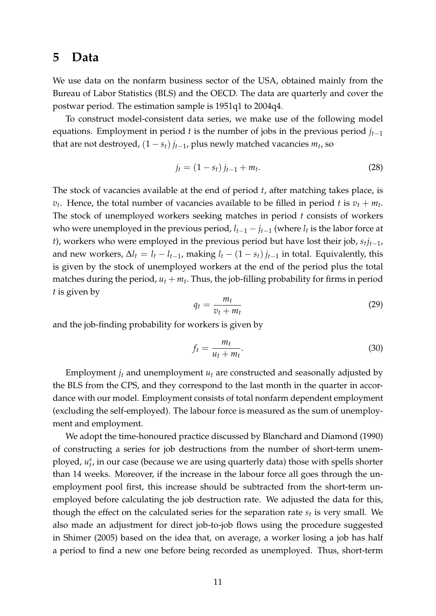### **5 Data**

We use data on the nonfarm business sector of the USA, obtained mainly from the Bureau of Labor Statistics (BLS) and the OECD. The data are quarterly and cover the postwar period. The estimation sample is 1951q1 to 2004q4.

To construct model-consistent data series, we make use of the following model equations. Employment in period *t* is the number of jobs in the previous period  $j_{t-1}$ that are not destroyed,  $(1 - s_t) j_{t-1}$ , plus newly matched vacancies  $m_t$ , so

$$
j_t = (1 - s_t) j_{t-1} + m_t.
$$
\n(28)

The stock of vacancies available at the end of period *t*, after matching takes place, is  $v_t$ . Hence, the total number of vacancies available to be filled in period *t* is  $v_t + m_t$ . The stock of unemployed workers seeking matches in period *t* consists of workers who were unemployed in the previous period,  $l_{t-1} - j_{t-1}$  (where  $l_t$  is the labor force at *t*), workers who were employed in the previous period but have lost their job,  $s_tj_{t-1}$ , and new workers,  $\Delta l_t = l_t - l_{t-1}$ , making  $l_t - (1 - s_t) j_{t-1}$  in total. Equivalently, this is given by the stock of unemployed workers at the end of the period plus the total matches during the period,  $u_t + m_t$ . Thus, the job-filling probability for firms in period *t* is given by

$$
q_t = \frac{m_t}{v_t + m_t} \tag{29}
$$

and the job-finding probability for workers is given by

$$
f_t = \frac{m_t}{u_t + m_t}.\tag{30}
$$

Employment  $j_t$  and unemployment  $u_t$  are constructed and seasonally adjusted by the BLS from the CPS, and they correspond to the last month in the quarter in accordance with our model. Employment consists of total nonfarm dependent employment (excluding the self-employed). The labour force is measured as the sum of unemployment and employment.

We adopt the time-honoured practice discussed by Blanchard and Diamond (1990) of constructing a series for job destructions from the number of short-term unemployed,  $u_t^s$ , in our case (because we are using quarterly data) those with spells shorter than 14 weeks. Moreover, if the increase in the labour force all goes through the unemployment pool first, this increase should be subtracted from the short-term unemployed before calculating the job destruction rate. We adjusted the data for this, though the effect on the calculated series for the separation rate *s<sup>t</sup>* is very small. We also made an adjustment for direct job-to-job flows using the procedure suggested in Shimer (2005) based on the idea that, on average, a worker losing a job has half a period to find a new one before being recorded as unemployed. Thus, short-term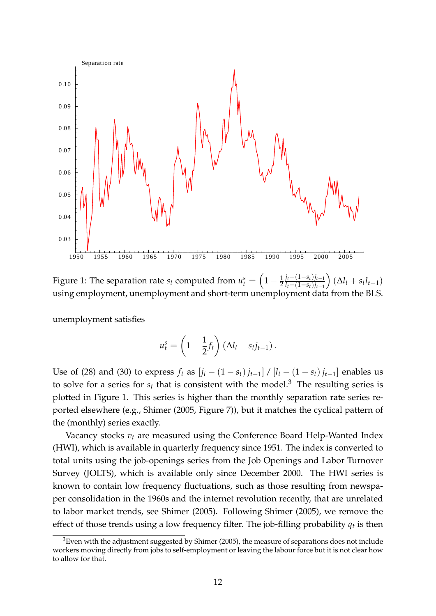

Figure 1: The separation rate  $s_t$  computed from  $u_t^s =$  $(1)$  $1 - \frac{1}{2} \frac{j_t - (1 - s_t)j_{t-1}}{l_t - (1 - s_t)j_{t-1}}$  $l_t - (1 - s_t)j_{t-1}$  $\left(\Delta l_t + s_t l_{t-1}\right)$ using employment, unemployment and short-term unemployment data from the BLS.

unemployment satisfies

$$
u_t^s = \left(1 - \frac{1}{2}f_t\right)\left(\Delta l_t + s_t j_{t-1}\right).
$$

Use of (28) and (30) to express  $f_t$  as  $[i_t - (1 - s_t) i_{t-1}] / [l_t - (1 - s_t) i_{t-1}]$  enables us to solve for a series for  $s_t$  that is consistent with the model.<sup>3</sup> The resulting series is plotted in Figure 1. This series is higher than the monthly separation rate series reported elsewhere (e.g., Shimer (2005, Figure 7)), but it matches the cyclical pattern of the (monthly) series exactly.

Vacancy stocks *v<sup>t</sup>* are measured using the Conference Board Help-Wanted Index (HWI), which is available in quarterly frequency since 1951. The index is converted to total units using the job-openings series from the Job Openings and Labor Turnover Survey (JOLTS), which is available only since December 2000. The HWI series is known to contain low frequency fluctuations, such as those resulting from newspaper consolidation in the 1960s and the internet revolution recently, that are unrelated to labor market trends, see Shimer (2005). Following Shimer (2005), we remove the effect of those trends using a low frequency filter. The job-filling probability  $q_t$  is then

 $3$ Even with the adjustment suggested by Shimer (2005), the measure of separations does not include workers moving directly from jobs to self-employment or leaving the labour force but it is not clear how to allow for that.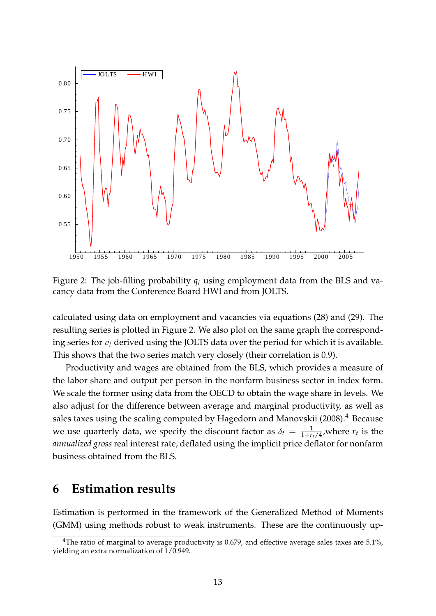

Figure 2: The job-filling probability *q<sup>t</sup>* using employment data from the BLS and vacancy data from the Conference Board HWI and from JOLTS.

calculated using data on employment and vacancies via equations (28) and (29). The resulting series is plotted in Figure 2. We also plot on the same graph the corresponding series for *v<sup>t</sup>* derived using the JOLTS data over the period for which it is available. This shows that the two series match very closely (their correlation is 0.9).

Productivity and wages are obtained from the BLS, which provides a measure of the labor share and output per person in the nonfarm business sector in index form. We scale the former using data from the OECD to obtain the wage share in levels. We also adjust for the difference between average and marginal productivity, as well as sales taxes using the scaling computed by Hagedorn and Manovskii (2008).<sup>4</sup> Because we use quarterly data, we specify the discount factor as  $\delta_t = \frac{1}{1 + r_t/4}$ , where  $r_t$  is the *annualized gross* real interest rate, deflated using the implicit price deflator for nonfarm business obtained from the BLS.

### **6 Estimation results**

Estimation is performed in the framework of the Generalized Method of Moments (GMM) using methods robust to weak instruments. These are the continuously up-

<sup>&</sup>lt;sup>4</sup>The ratio of marginal to average productivity is 0.679, and effective average sales taxes are 5.1%, yielding an extra normalization of 1/0.949.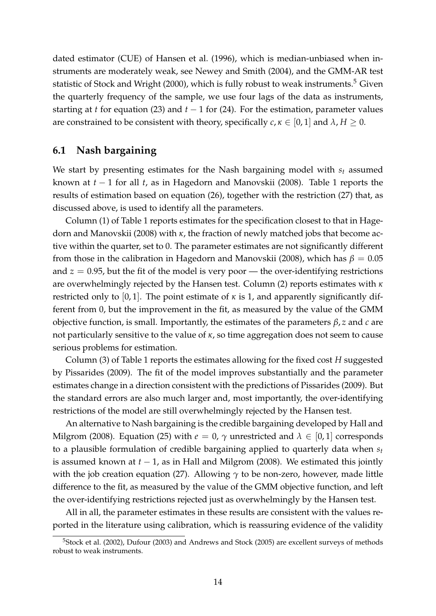dated estimator (CUE) of Hansen et al. (1996), which is median-unbiased when instruments are moderately weak, see Newey and Smith (2004), and the GMM-AR test statistic of Stock and Wright (2000), which is fully robust to weak instruments.<sup>5</sup> Given the quarterly frequency of the sample, we use four lags of the data as instruments, starting at *t* for equation (23) and  $t - 1$  for (24). For the estimation, parameter values are constrained to be consistent with theory, specifically  $c, \kappa \in [0, 1]$  and  $\lambda, H \geq 0$ .

#### **6.1 Nash bargaining**

We start by presenting estimates for the Nash bargaining model with *s<sup>t</sup>* assumed known at  $t - 1$  for all  $t$ , as in Hagedorn and Manovskii (2008). Table 1 reports the results of estimation based on equation (26), together with the restriction (27) that, as discussed above, is used to identify all the parameters.

Column (1) of Table 1 reports estimates for the specification closest to that in Hagedorn and Manovskii (2008) with *κ*, the fraction of newly matched jobs that become active within the quarter, set to 0. The parameter estimates are not significantly different from those in the calibration in Hagedorn and Manovskii (2008), which has  $\beta = 0.05$ and  $z = 0.95$ , but the fit of the model is very poor — the over-identifying restrictions are overwhelmingly rejected by the Hansen test. Column (2) reports estimates with *κ* restricted only to [0,1]. The point estimate of  $\kappa$  is 1, and apparently significantly different from 0, but the improvement in the fit, as measured by the value of the GMM objective function, is small. Importantly, the estimates of the parameters *β*, *z* and *c* are not particularly sensitive to the value of *κ*, so time aggregation does not seem to cause serious problems for estimation.

Column (3) of Table 1 reports the estimates allowing for the fixed cost *H* suggested by Pissarides (2009). The fit of the model improves substantially and the parameter estimates change in a direction consistent with the predictions of Pissarides (2009). But the standard errors are also much larger and, most importantly, the over-identifying restrictions of the model are still overwhelmingly rejected by the Hansen test.

An alternative to Nash bargaining is the credible bargaining developed by Hall and Milgrom (2008). Equation (25) with  $e = 0$ ,  $\gamma$  unrestricted and  $\lambda \in [0, 1]$  corresponds to a plausible formulation of credible bargaining applied to quarterly data when *s<sup>t</sup>* is assumed known at  $t - 1$ , as in Hall and Milgrom (2008). We estimated this jointly with the job creation equation (27). Allowing *γ* to be non-zero, however, made little difference to the fit, as measured by the value of the GMM objective function, and left the over-identifying restrictions rejected just as overwhelmingly by the Hansen test.

All in all, the parameter estimates in these results are consistent with the values reported in the literature using calibration, which is reassuring evidence of the validity

<sup>&</sup>lt;sup>5</sup>Stock et al. (2002), Dufour (2003) and Andrews and Stock (2005) are excellent surveys of methods robust to weak instruments.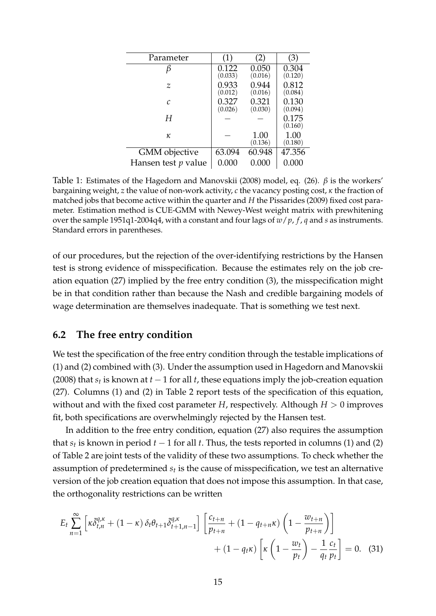| Parameter             | (1)              | 2)               | (3)              |
|-----------------------|------------------|------------------|------------------|
|                       | 0.122<br>(0.033) | 0.050<br>(0.016) | 0.304<br>(0.120) |
| z                     | 0.933<br>(0.012) | 0.944<br>(0.016) | 0.812<br>(0.084) |
| $\mathcal{C}$         | 0.327<br>(0.026) | 0.321<br>(0.030) | 0.130<br>(0.094) |
| Н                     |                  |                  | 0.175<br>(0.160) |
| κ                     |                  | 1.00<br>(0.136)  | 1.00<br>(0.180)  |
| <b>GMM</b> objective  | 63.094           | 60.948           | 47.356           |
| Hansen test $p$ value | 0.000            | 0.000            | 0.000            |

Table 1: Estimates of the Hagedorn and Manovskii (2008) model, eq. (26). *β* is the workers' bargaining weight, *z* the value of non-work activity, *c* the vacancy posting cost, *κ* the fraction of matched jobs that become active within the quarter and *H* the Pissarides (2009) fixed cost parameter. Estimation method is CUE-GMM with Newey-West weight matrix with prewhitening over the sample 1951q1-2004q4, with a constant and four lags of *w*/*p*, *f* , *q* and *s* as instruments. Standard errors in parentheses.

of our procedures, but the rejection of the over-identifying restrictions by the Hansen test is strong evidence of misspecification. Because the estimates rely on the job creation equation (27) implied by the free entry condition (3), the misspecification might be in that condition rather than because the Nash and credible bargaining models of wage determination are themselves inadequate. That is something we test next.

#### **6.2 The free entry condition**

We test the specification of the free entry condition through the testable implications of (1) and (2) combined with (3). Under the assumption used in Hagedorn and Manovskii (2008) that  $s_t$  is known at  $t-1$  for all  $t$ , these equations imply the job-creation equation (27). Columns (1) and (2) in Table 2 report tests of the specification of this equation, without and with the fixed cost parameter *H*, respectively. Although  $H > 0$  improves fit, both specifications are overwhelmingly rejected by the Hansen test.

In addition to the free entry condition, equation (27) also requires the assumption that  $s_t$  is known in period  $t-1$  for all  $t$ . Thus, the tests reported in columns (1) and (2) of Table 2 are joint tests of the validity of these two assumptions. To check whether the assumption of predetermined *s<sup>t</sup>* is the cause of misspecification, we test an alternative version of the job creation equation that does not impose this assumption. In that case, the orthogonality restrictions can be written

$$
E_t \sum_{n=1}^{\infty} \left[ \kappa \tilde{\delta}_{t,n}^{q,\kappa} + (1-\kappa) \delta_t \theta_{t+1} \tilde{\delta}_{t+1,n-1}^{q,\kappa} \right] \left[ \frac{c_{t+n}}{p_{t+n}} + (1-q_{t+n}\kappa) \left( 1 - \frac{w_{t+n}}{p_{t+n}} \right) \right] + (1-q_t\kappa) \left[ \kappa \left( 1 - \frac{w_t}{p_t} \right) - \frac{1}{q_t} \frac{c_t}{p_t} \right] = 0. \tag{31}
$$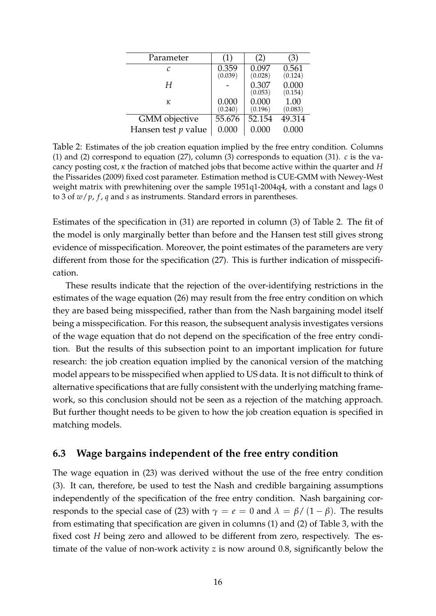| Parameter             | (1)              | (2)              | (3)              |
|-----------------------|------------------|------------------|------------------|
| C                     | 0.359<br>(0.039) | 0.097<br>(0.028) | 0.561<br>(0.124) |
| Н                     |                  | 0.307<br>(0.053) | 0.000<br>(0.154) |
| κ                     | 0.000<br>(0.240) | 0.000<br>(0.196) | 1.00<br>(0.083)  |
| <b>GMM</b> objective  | 55.676           | 52.154           | 49.314           |
| Hansen test $p$ value | 0.000            | 0.000            | 0.000            |

Table 2: Estimates of the job creation equation implied by the free entry condition. Columns (1) and (2) correspond to equation (27), column (3) corresponds to equation (31). *c* is the vacancy posting cost, *κ* the fraction of matched jobs that become active within the quarter and *H* the Pissarides (2009) fixed cost parameter. Estimation method is CUE-GMM with Newey-West weight matrix with prewhitening over the sample 1951q1-2004q4, with a constant and lags 0 to 3 of *w*/*p*, *f* , *q* and *s* as instruments. Standard errors in parentheses.

Estimates of the specification in (31) are reported in column (3) of Table 2. The fit of the model is only marginally better than before and the Hansen test still gives strong evidence of misspecification. Moreover, the point estimates of the parameters are very different from those for the specification (27). This is further indication of misspecification.

These results indicate that the rejection of the over-identifying restrictions in the estimates of the wage equation (26) may result from the free entry condition on which they are based being misspecified, rather than from the Nash bargaining model itself being a misspecification. For this reason, the subsequent analysis investigates versions of the wage equation that do not depend on the specification of the free entry condition. But the results of this subsection point to an important implication for future research: the job creation equation implied by the canonical version of the matching model appears to be misspecified when applied to US data. It is not difficult to think of alternative specifications that are fully consistent with the underlying matching framework, so this conclusion should not be seen as a rejection of the matching approach. But further thought needs to be given to how the job creation equation is specified in matching models.

#### **6.3 Wage bargains independent of the free entry condition**

The wage equation in (23) was derived without the use of the free entry condition (3). It can, therefore, be used to test the Nash and credible bargaining assumptions independently of the specification of the free entry condition. Nash bargaining corresponds to the special case of (23) with  $\gamma = e = 0$  and  $\lambda = \beta/(1 - \beta)$ . The results from estimating that specification are given in columns (1) and (2) of Table 3, with the fixed cost *H* being zero and allowed to be different from zero, respectively. The estimate of the value of non-work activity *z* is now around 0.8, significantly below the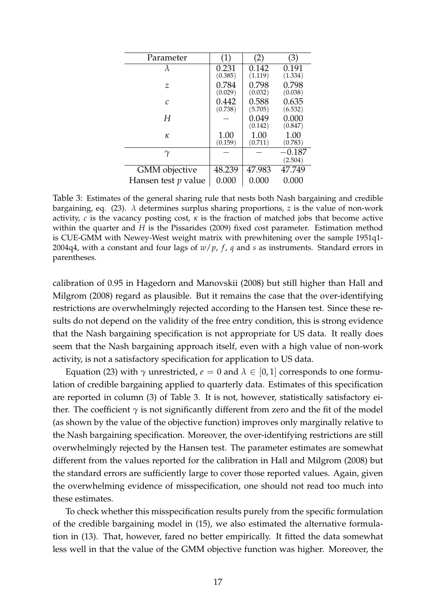| Parameter                  | (1)              | (2)              | (3)              |
|----------------------------|------------------|------------------|------------------|
| λ                          | 0.231<br>(0.385) | 0.142<br>(1.119) | 0.191<br>(1.334) |
| $\mathcal Z$               | 0.784<br>(0.029) | 0.798<br>(0.032) | 0.798<br>(0.038) |
| $\mathcal{C}$              | 0.442<br>(0.738) | 0.588<br>(5.705) | 0.635<br>(6.532) |
| Н                          |                  | 0.049<br>(0.142) | 0.000<br>(0.847) |
| κ                          | 1.00<br>(0.159)  | 1.00<br>(0.711)  | 1.00<br>(0.783)  |
| $\gamma$                   |                  |                  | 0.187<br>(2.504) |
| <b>GMM</b> objective       | 48.239           | 47.983           | 47.749           |
| Hansen test <i>p</i> value | 0.000            | 0.000            | 0.000            |

Table 3: Estimates of the general sharing rule that nests both Nash bargaining and credible bargaining, eq. (23). *λ* determines surplus sharing proportions, *z* is the value of non-work activity,  $c$  is the vacancy posting cost,  $\kappa$  is the fraction of matched jobs that become active within the quarter and *H* is the Pissarides (2009) fixed cost parameter. Estimation method is CUE-GMM with Newey-West weight matrix with prewhitening over the sample 1951q1- 2004q4, with a constant and four lags of *w*/*p*, *f* , *q* and *s* as instruments. Standard errors in parentheses.

calibration of 0.95 in Hagedorn and Manovskii (2008) but still higher than Hall and Milgrom (2008) regard as plausible. But it remains the case that the over-identifying restrictions are overwhelmingly rejected according to the Hansen test. Since these results do not depend on the validity of the free entry condition, this is strong evidence that the Nash bargaining specification is not appropriate for US data. It really does seem that the Nash bargaining approach itself, even with a high value of non-work activity, is not a satisfactory specification for application to US data.

Equation (23) with  $\gamma$  unrestricted,  $e = 0$  and  $\lambda \in [0, 1]$  corresponds to one formulation of credible bargaining applied to quarterly data. Estimates of this specification are reported in column (3) of Table 3. It is not, however, statistically satisfactory either. The coefficient  $\gamma$  is not significantly different from zero and the fit of the model (as shown by the value of the objective function) improves only marginally relative to the Nash bargaining specification. Moreover, the over-identifying restrictions are still overwhelmingly rejected by the Hansen test. The parameter estimates are somewhat different from the values reported for the calibration in Hall and Milgrom (2008) but the standard errors are sufficiently large to cover those reported values. Again, given the overwhelming evidence of misspecification, one should not read too much into these estimates.

To check whether this misspecification results purely from the specific formulation of the credible bargaining model in (15), we also estimated the alternative formulation in (13). That, however, fared no better empirically. It fitted the data somewhat less well in that the value of the GMM objective function was higher. Moreover, the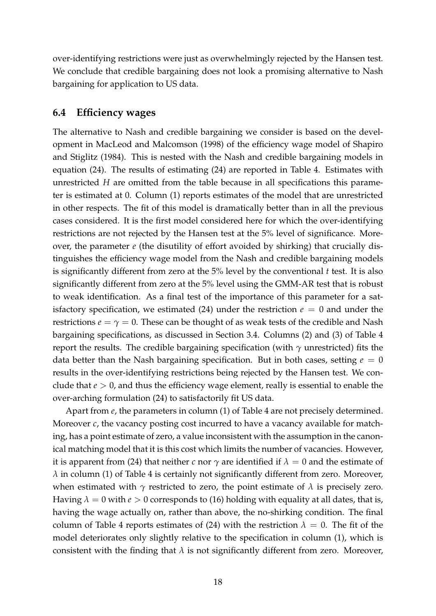over-identifying restrictions were just as overwhelmingly rejected by the Hansen test. We conclude that credible bargaining does not look a promising alternative to Nash bargaining for application to US data.

#### **6.4 Efficiency wages**

The alternative to Nash and credible bargaining we consider is based on the development in MacLeod and Malcomson (1998) of the efficiency wage model of Shapiro and Stiglitz (1984). This is nested with the Nash and credible bargaining models in equation (24). The results of estimating (24) are reported in Table 4. Estimates with unrestricted *H* are omitted from the table because in all specifications this parameter is estimated at 0. Column (1) reports estimates of the model that are unrestricted in other respects. The fit of this model is dramatically better than in all the previous cases considered. It is the first model considered here for which the over-identifying restrictions are not rejected by the Hansen test at the 5% level of significance. Moreover, the parameter *e* (the disutility of effort avoided by shirking) that crucially distinguishes the efficiency wage model from the Nash and credible bargaining models is significantly different from zero at the 5% level by the conventional *t* test. It is also significantly different from zero at the 5% level using the GMM-AR test that is robust to weak identification. As a final test of the importance of this parameter for a satisfactory specification, we estimated (24) under the restriction  $e = 0$  and under the restrictions  $e = \gamma = 0$ . These can be thought of as weak tests of the credible and Nash bargaining specifications, as discussed in Section 3.4. Columns (2) and (3) of Table 4 report the results. The credible bargaining specification (with *γ* unrestricted) fits the data better than the Nash bargaining specification. But in both cases, setting  $e = 0$ results in the over-identifying restrictions being rejected by the Hansen test. We conclude that *e* > 0, and thus the efficiency wage element, really is essential to enable the over-arching formulation (24) to satisfactorily fit US data.

Apart from *e*, the parameters in column (1) of Table 4 are not precisely determined. Moreover *c*, the vacancy posting cost incurred to have a vacancy available for matching, has a point estimate of zero, a value inconsistent with the assumption in the canonical matching model that it is this cost which limits the number of vacancies. However, it is apparent from (24) that neither *c* nor  $\gamma$  are identified if  $\lambda = 0$  and the estimate of *λ* in column (1) of Table 4 is certainly not significantly different from zero. Moreover, when estimated with  $\gamma$  restricted to zero, the point estimate of  $\lambda$  is precisely zero. Having  $\lambda = 0$  with  $e > 0$  corresponds to (16) holding with equality at all dates, that is, having the wage actually on, rather than above, the no-shirking condition. The final column of Table 4 reports estimates of (24) with the restriction  $\lambda = 0$ . The fit of the model deteriorates only slightly relative to the specification in column (1), which is consistent with the finding that  $\lambda$  is not significantly different from zero. Moreover,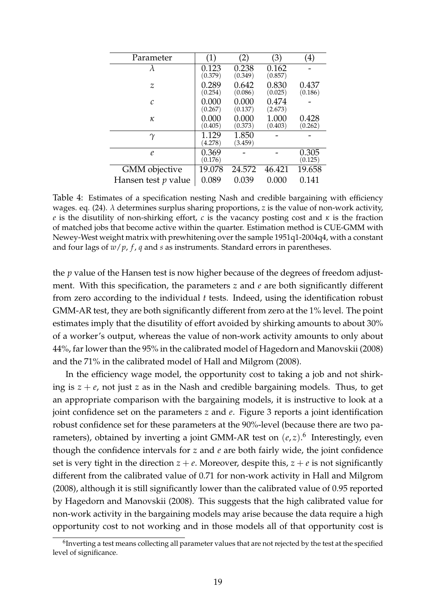| Parameter             | $\left( 1\right)$ | (2)              | (3)              | (4)              |
|-----------------------|-------------------|------------------|------------------|------------------|
| λ                     | 0.123<br>(0.379)  | 0.238<br>(0.349) | 0.162<br>(0.857) |                  |
| Ζ                     | 0.289<br>(0.254)  | 0.642<br>(0.086) | 0.830<br>(0.025) | 0.437<br>(0.186) |
| $\mathcal{C}_{0}$     | 0.000<br>(0.267)  | 0.000<br>(0.137) | 0.474<br>(2.673) |                  |
| κ                     | 0.000<br>(0.405)  | 0.000<br>(0.373) | 1.000<br>(0.403) | 0.428<br>(0.262) |
| $\gamma$              | 1.129<br>(4.278)  | 1.850<br>(3.459) |                  |                  |
| $\ell$                | 0.369<br>(0.176)  |                  |                  | 0.305<br>(0.125) |
| <b>GMM</b> objective  | 19.078            | 24.572           | 46.421           | 19.658           |
| Hansen test $p$ value | 0.089             | 0.039            | 0.000            | 0.141            |

Table 4: Estimates of a specification nesting Nash and credible bargaining with efficiency wages. eq. (24). *λ* determines surplus sharing proportions, *z* is the value of non-work activity, *e* is the disutility of non-shirking effort, *c* is the vacancy posting cost and *κ* is the fraction of matched jobs that become active within the quarter. Estimation method is CUE-GMM with Newey-West weight matrix with prewhitening over the sample 1951q1-2004q4, with a constant and four lags of  $w/p$ ,  $f$ ,  $q$  and  $s$  as instruments. Standard errors in parentheses.

the *p* value of the Hansen test is now higher because of the degrees of freedom adjustment. With this specification, the parameters *z* and *e* are both significantly different from zero according to the individual *t* tests. Indeed, using the identification robust GMM-AR test, they are both significantly different from zero at the 1% level. The point estimates imply that the disutility of effort avoided by shirking amounts to about 30% of a worker's output, whereas the value of non-work activity amounts to only about 44%, far lower than the 95% in the calibrated model of Hagedorn and Manovskii (2008) and the 71% in the calibrated model of Hall and Milgrom (2008).

In the efficiency wage model, the opportunity cost to taking a job and not shirking is  $z + e$ , not just *z* as in the Nash and credible bargaining models. Thus, to get an appropriate comparison with the bargaining models, it is instructive to look at a joint confidence set on the parameters *z* and *e*. Figure 3 reports a joint identification robust confidence set for these parameters at the 90%-level (because there are two parameters), obtained by inverting a joint GMM-AR test on  $(e, z)$ .<sup>6</sup> Interestingly, even though the confidence intervals for *z* and *e* are both fairly wide, the joint confidence set is very tight in the direction  $z + e$ . Moreover, despite this,  $z + e$  is not significantly different from the calibrated value of 0.71 for non-work activity in Hall and Milgrom (2008), although it is still significantly lower than the calibrated value of 0.95 reported by Hagedorn and Manovskii (2008). This suggests that the high calibrated value for non-work activity in the bargaining models may arise because the data require a high opportunity cost to not working and in those models all of that opportunity cost is

 $^6$ Inverting a test means collecting all parameter values that are not rejected by the test at the specified level of significance.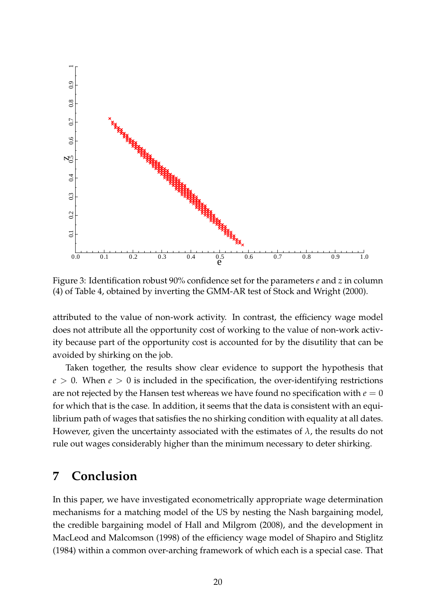

Figure 3: Identification robust 90% confidence set for the parameters *e* and *z* in column (4) of Table 4, obtained by inverting the GMM-AR test of Stock and Wright (2000).

attributed to the value of non-work activity. In contrast, the efficiency wage model does not attribute all the opportunity cost of working to the value of non-work activity because part of the opportunity cost is accounted for by the disutility that can be avoided by shirking on the job.

Taken together, the results show clear evidence to support the hypothesis that  $e > 0$ . When  $e > 0$  is included in the specification, the over-identifying restrictions are not rejected by the Hansen test whereas we have found no specification with  $e = 0$ for which that is the case. In addition, it seems that the data is consistent with an equilibrium path of wages that satisfies the no shirking condition with equality at all dates. However, given the uncertainty associated with the estimates of  $\lambda$ , the results do not rule out wages considerably higher than the minimum necessary to deter shirking.

### **7 Conclusion**

In this paper, we have investigated econometrically appropriate wage determination mechanisms for a matching model of the US by nesting the Nash bargaining model, the credible bargaining model of Hall and Milgrom (2008), and the development in MacLeod and Malcomson (1998) of the efficiency wage model of Shapiro and Stiglitz (1984) within a common over-arching framework of which each is a special case. That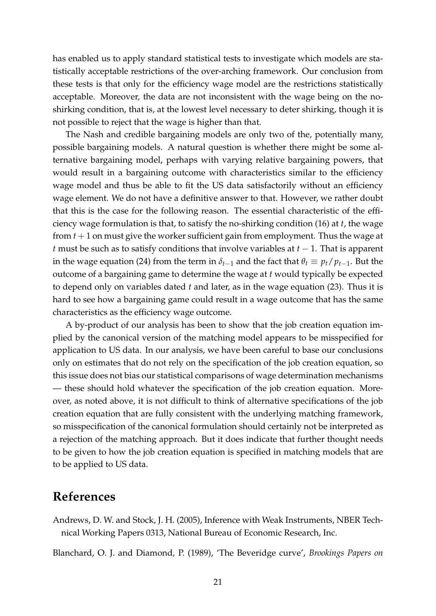has enabled us to apply standard statistical tests to investigate which models are statistically acceptable restrictions of the over-arching framework. Our conclusion from these tests is that only for the efficiency wage model are the restrictions statistically acceptable. Moreover, the data are not inconsistent with the wage being on the noshirking condition, that is, at the lowest level necessary to deter shirking, though it is not possible to reject that the wage is higher than that.

The Nash and credible bargaining models are only two of the, potentially many, possible bargaining models. A natural question is whether there might be some alternative bargaining model, perhaps with varying relative bargaining powers, that would result in a bargaining outcome with characteristics similar to the efficiency wage model and thus be able to fit the US data satisfactorily without an efficiency wage element. We do not have a definitive answer to that. However, we rather doubt that this is the case for the following reason. The essential characteristic of the efficiency wage formulation is that, to satisfy the no-shirking condition (16) at *t*, the wage from *t* + 1 on must give the worker sufficient gain from employment. Thus the wage at *t* must be such as to satisfy conditions that involve variables at  $t - 1$ . That is apparent in the wage equation (24) from the term in  $\delta_{t-1}$  and the fact that  $\theta_t \equiv p_t/p_{t-1}$ . But the outcome of a bargaining game to determine the wage at *t* would typically be expected to depend only on variables dated *t* and later, as in the wage equation (23). Thus it is hard to see how a bargaining game could result in a wage outcome that has the same characteristics as the efficiency wage outcome.

A by-product of our analysis has been to show that the job creation equation implied by the canonical version of the matching model appears to be misspecified for application to US data. In our analysis, we have been careful to base our conclusions only on estimates that do not rely on the specification of the job creation equation, so this issue does not bias our statistical comparisons of wage determination mechanisms — these should hold whatever the specification of the job creation equation. Moreover, as noted above, it is not difficult to think of alternative specifications of the job creation equation that are fully consistent with the underlying matching framework, so misspecification of the canonical formulation should certainly not be interpreted as a rejection of the matching approach. But it does indicate that further thought needs to be given to how the job creation equation is specified in matching models that are to be applied to US data.

### **References**

Andrews, D. W. and Stock, J. H. (2005), Inference with Weak Instruments, NBER Technical Working Papers 0313, National Bureau of Economic Research, Inc.

Blanchard, O. J. and Diamond, P. (1989), 'The Beveridge curve', *Brookings Papers on*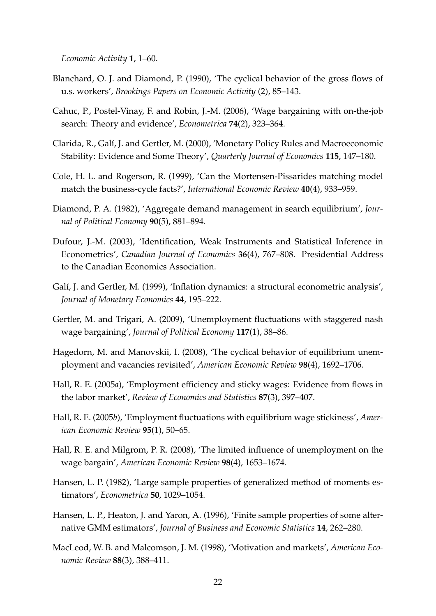*Economic Activity* **1**, 1–60.

- Blanchard, O. J. and Diamond, P. (1990), 'The cyclical behavior of the gross flows of u.s. workers', *Brookings Papers on Economic Activity* (2), 85–143.
- Cahuc, P., Postel-Vinay, F. and Robin, J.-M. (2006), 'Wage bargaining with on-the-job search: Theory and evidence', *Econometrica* **74**(2), 323–364.
- Clarida, R., Galí, J. and Gertler, M. (2000), 'Monetary Policy Rules and Macroeconomic Stability: Evidence and Some Theory', *Quarterly Journal of Economics* **115**, 147–180.
- Cole, H. L. and Rogerson, R. (1999), 'Can the Mortensen-Pissarides matching model match the business-cycle facts?', *International Economic Review* **40**(4), 933–959.
- Diamond, P. A. (1982), 'Aggregate demand management in search equilibrium', *Journal of Political Economy* **90**(5), 881–894.
- Dufour, J.-M. (2003), 'Identification, Weak Instruments and Statistical Inference in Econometrics', *Canadian Journal of Economics* **36**(4), 767–808. Presidential Address to the Canadian Economics Association.
- Galí, J. and Gertler, M. (1999), 'Inflation dynamics: a structural econometric analysis', *Journal of Monetary Economics* **44**, 195–222.
- Gertler, M. and Trigari, A. (2009), 'Unemployment fluctuations with staggered nash wage bargaining', *Journal of Political Economy* **117**(1), 38–86.
- Hagedorn, M. and Manovskii, I. (2008), 'The cyclical behavior of equilibrium unemployment and vacancies revisited', *American Economic Review* **98**(4), 1692–1706.
- Hall, R. E. (2005*a*), 'Employment efficiency and sticky wages: Evidence from flows in the labor market', *Review of Economics and Statistics* **87**(3), 397–407.
- Hall, R. E. (2005*b*), 'Employment fluctuations with equilibrium wage stickiness', *American Economic Review* **95**(1), 50–65.
- Hall, R. E. and Milgrom, P. R. (2008), 'The limited influence of unemployment on the wage bargain', *American Economic Review* **98**(4), 1653–1674.
- Hansen, L. P. (1982), 'Large sample properties of generalized method of moments estimators', *Econometrica* **50**, 1029–1054.
- Hansen, L. P., Heaton, J. and Yaron, A. (1996), 'Finite sample properties of some alternative GMM estimators', *Journal of Business and Economic Statistics* **14**, 262–280.
- MacLeod, W. B. and Malcomson, J. M. (1998), 'Motivation and markets', *American Economic Review* **88**(3), 388–411.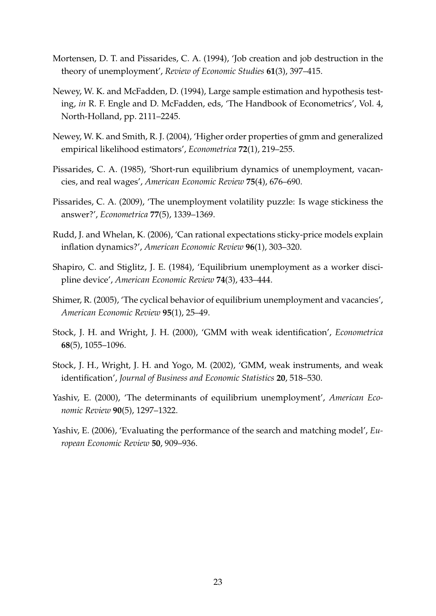- Mortensen, D. T. and Pissarides, C. A. (1994), 'Job creation and job destruction in the theory of unemployment', *Review of Economic Studies* **61**(3), 397–415.
- Newey, W. K. and McFadden, D. (1994), Large sample estimation and hypothesis testing, *in* R. F. Engle and D. McFadden, eds, 'The Handbook of Econometrics', Vol. 4, North-Holland, pp. 2111–2245.
- Newey, W. K. and Smith, R. J. (2004), 'Higher order properties of gmm and generalized empirical likelihood estimators', *Econometrica* **72**(1), 219–255.
- Pissarides, C. A. (1985), 'Short-run equilibrium dynamics of unemployment, vacancies, and real wages', *American Economic Review* **75**(4), 676–690.
- Pissarides, C. A. (2009), 'The unemployment volatility puzzle: Is wage stickiness the answer?', *Econometrica* **77**(5), 1339–1369.
- Rudd, J. and Whelan, K. (2006), 'Can rational expectations sticky-price models explain inflation dynamics?', *American Economic Review* **96**(1), 303–320.
- Shapiro, C. and Stiglitz, J. E. (1984), 'Equilibrium unemployment as a worker discipline device', *American Economic Review* **74**(3), 433–444.
- Shimer, R. (2005), 'The cyclical behavior of equilibrium unemployment and vacancies', *American Economic Review* **95**(1), 25–49.
- Stock, J. H. and Wright, J. H. (2000), 'GMM with weak identification', *Econometrica* **68**(5), 1055–1096.
- Stock, J. H., Wright, J. H. and Yogo, M. (2002), 'GMM, weak instruments, and weak identification', *Journal of Business and Economic Statistics* **20**, 518–530.
- Yashiv, E. (2000), 'The determinants of equilibrium unemployment', *American Economic Review* **90**(5), 1297–1322.
- Yashiv, E. (2006), 'Evaluating the performance of the search and matching model', *European Economic Review* **50**, 909–936.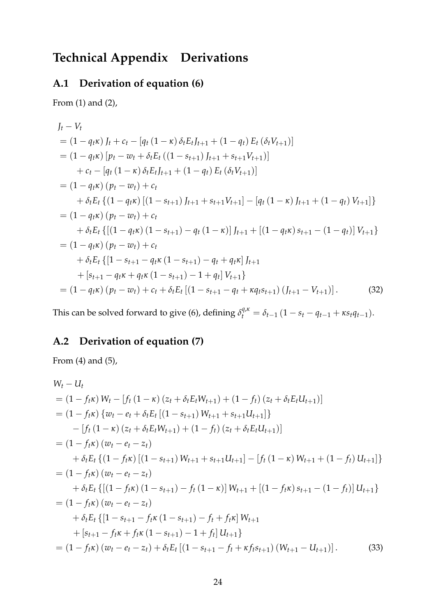## **Technical Appendix Derivations**

### **A.1 Derivation of equation (6)**

From (1) and (2),

$$
J_t - V_t
$$
  
=  $(1 - q_t \kappa) J_t + c_t - [q_t (1 - \kappa) \delta_t E_t J_{t+1} + (1 - q_t) E_t (\delta_t V_{t+1})]$   
=  $(1 - q_t \kappa) [p_t - w_t + \delta_t E_t ((1 - s_{t+1}) J_{t+1} + s_{t+1} V_{t+1})]$   
+  $c_t - [q_t (1 - \kappa) \delta_t E_t J_{t+1} + (1 - q_t) E_t (\delta_t V_{t+1})]$   
=  $(1 - q_t \kappa) (p_t - w_t) + c_t$   
+  $\delta_t E_t \{ (1 - q_t \kappa) [(1 - s_{t+1}) J_{t+1} + s_{t+1} V_{t+1}] - [q_t (1 - \kappa) J_{t+1} + (1 - q_t) V_{t+1}] \}$   
=  $(1 - q_t \kappa) (p_t - w_t) + c_t$   
+  $\delta_t E_t \{ [(1 - q_t \kappa) (1 - s_{t+1}) - q_t (1 - \kappa)] J_{t+1} + [(1 - q_t \kappa) s_{t+1} - (1 - q_t)] V_{t+1} \}$   
=  $(1 - q_t \kappa) (p_t - w_t) + c_t$   
+  $\delta_t E_t \{ [1 - s_{t+1} - q_t \kappa (1 - s_{t+1}) - q_t + q_t \kappa] J_{t+1}$   
+  $[s_{t+1} - q_t \kappa + q_t \kappa (1 - s_{t+1}) - 1 + q_t] V_{t+1} \}$   
=  $(1 - q_t \kappa) (p_t - w_t) + c_t + \delta_t E_t [(1 - s_{t+1} - q_t + \kappa q_t s_{t+1}) (J_{t+1} - V_{t+1})].$  (32)

This can be solved forward to give (6), defining  $\delta_t^{q,\kappa} = \delta_{t-1} (1 - s_t - q_{t-1} + \kappa s_t q_{t-1}).$ 

### **A.2 Derivation of equation (7)**

From (4) and (5),

$$
W_t - U_t
$$
  
\n
$$
= (1 - f_t \kappa) W_t - [f_t (1 - \kappa) (z_t + \delta_t E_t W_{t+1}) + (1 - f_t) (z_t + \delta_t E_t U_{t+1})]
$$
  
\n
$$
= (1 - f_t \kappa) \{w_t - e_t + \delta_t E_t [(1 - s_{t+1}) W_{t+1} + s_{t+1} U_{t+1}]\}
$$
  
\n
$$
- [f_t (1 - \kappa) (z_t + \delta_t E_t W_{t+1}) + (1 - f_t) (z_t + \delta_t E_t U_{t+1})]
$$
  
\n
$$
= (1 - f_t \kappa) (w_t - e_t - z_t)
$$
  
\n
$$
+ \delta_t E_t \{ (1 - f_t \kappa) [(1 - s_{t+1}) W_{t+1} + s_{t+1} U_{t+1}] - [f_t (1 - \kappa) W_{t+1} + (1 - f_t) U_{t+1}] \}
$$
  
\n
$$
= (1 - f_t \kappa) (w_t - e_t - z_t)
$$
  
\n
$$
+ \delta_t E_t \{ [(1 - f_t \kappa) (1 - s_{t+1}) - f_t (1 - \kappa)] W_{t+1} + [(1 - f_t \kappa) s_{t+1} - (1 - f_t)] U_{t+1} \}
$$
  
\n
$$
= (1 - f_t \kappa) (w_t - e_t - z_t)
$$
  
\n
$$
+ \delta_t E_t \{ [1 - s_{t+1} - f_t \kappa (1 - s_{t+1}) - f_t + f_t \kappa] W_{t+1}
$$
  
\n
$$
+ [s_{t+1} - f_t \kappa + f_t \kappa (1 - s_{t+1}) - 1 + f_t] U_{t+1} \}
$$
  
\n
$$
= (1 - f_t \kappa) (w_t - e_t - z_t) + \delta_t E_t [(1 - s_{t+1} - f_t + \kappa f_t s_{t+1}) (W_{t+1} - U_{t+1})].
$$
  
\n(33)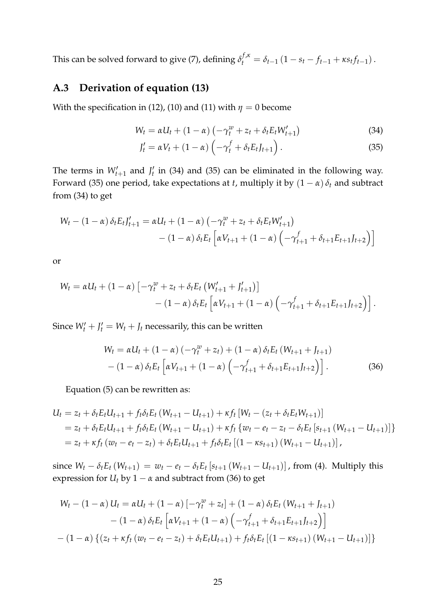This can be solved forward to give (7), defining  $\delta_t^{f,\kappa} = \delta_{t-1} (1 - s_t - f_{t-1} + \kappa s_t f_{t-1})$ .

### **A.3 Derivation of equation (13)**

With the specification in (12), (10) and (11) with  $\eta = 0$  become

$$
W_t = \alpha U_t + (1 - \alpha) \left( -\gamma_t^w + z_t + \delta_t E_t W_{t+1}' \right)
$$
\n(34)

$$
J'_t = \alpha V_t + (1 - \alpha) \left( -\gamma_t^f + \delta_t E_t J_{t+1} \right).
$$
 (35)

The terms in  $W_{t+1}'$  and  $J_t'$  in (34) and (35) can be eliminated in the following way. Forward (35) one period, take expectations at *t*, multiply it by  $(1 - \alpha) \delta_t$  and subtract from (34) to get

$$
W_t - (1 - \alpha) \delta_t E_t J'_{t+1} = \alpha U_t + (1 - \alpha) \left( -\gamma_t^w + z_t + \delta_t E_t W'_{t+1} \right) - (1 - \alpha) \delta_t E_t \left[ \alpha V_{t+1} + (1 - \alpha) \left( -\gamma_{t+1}^f + \delta_{t+1} E_{t+1} J_{t+2} \right) \right]
$$

or

$$
W_t = \alpha U_t + (1 - \alpha) \left[ -\gamma_t^w + z_t + \delta_t E_t \left( W_{t+1}' + J_{t+1}' \right) \right] - (1 - \alpha) \delta_t E_t \left[ \alpha V_{t+1} + (1 - \alpha) \left( -\gamma_{t+1}^f + \delta_{t+1} E_{t+1} J_{t+2} \right) \right].
$$

Since  $W'_t + J'_t = W_t + J_t$  necessarily, this can be written

$$
W_t = \alpha U_t + (1 - \alpha) \left( -\gamma_t^w + z_t \right) + (1 - \alpha) \delta_t E_t \left( W_{t+1} + J_{t+1} \right) - (1 - \alpha) \delta_t E_t \left[ \alpha V_{t+1} + (1 - \alpha) \left( -\gamma_{t+1}^f + \delta_{t+1} E_{t+1} J_{t+2} \right) \right].
$$
 (36)

Equation (5) can be rewritten as:

$$
U_t = z_t + \delta_t E_t U_{t+1} + f_t \delta_t E_t (W_{t+1} - U_{t+1}) + \kappa f_t [W_t - (z_t + \delta_t E_t W_{t+1})]
$$
  
=  $z_t + \delta_t E_t U_{t+1} + f_t \delta_t E_t (W_{t+1} - U_{t+1}) + \kappa f_t \{w_t - e_t - z_t - \delta_t E_t [s_{t+1} (W_{t+1} - U_{t+1})] \}$   
=  $z_t + \kappa f_t (w_t - e_t - z_t) + \delta_t E_t U_{t+1} + f_t \delta_t E_t [(1 - \kappa s_{t+1}) (W_{t+1} - U_{t+1})],$ 

since  $W_t - \delta_t E_t (W_{t+1}) = w_t - e_t - \delta_t E_t [s_{t+1} (W_{t+1} - U_{t+1})]$ , from (4). Multiply this expression for  $U_t$  by  $1 - \alpha$  and subtract from (36) to get

$$
W_t - (1 - \alpha) U_t = \alpha U_t + (1 - \alpha) \left[ -\gamma_t^w + z_t \right] + (1 - \alpha) \delta_t E_t \left( W_{t+1} + J_{t+1} \right)
$$
  
- 
$$
(1 - \alpha) \delta_t E_t \left[ \alpha V_{t+1} + (1 - \alpha) \left( -\gamma_{t+1}^f + \delta_{t+1} E_{t+1} J_{t+2} \right) \right]
$$
  
- 
$$
(1 - \alpha) \left\{ (z_t + \kappa f_t \left( w_t - e_t - z_t \right) + \delta_t E_t U_{t+1}) + f_t \delta_t E_t \left[ (1 - \kappa s_{t+1}) \left( W_{t+1} - U_{t+1} \right) \right] \right\}
$$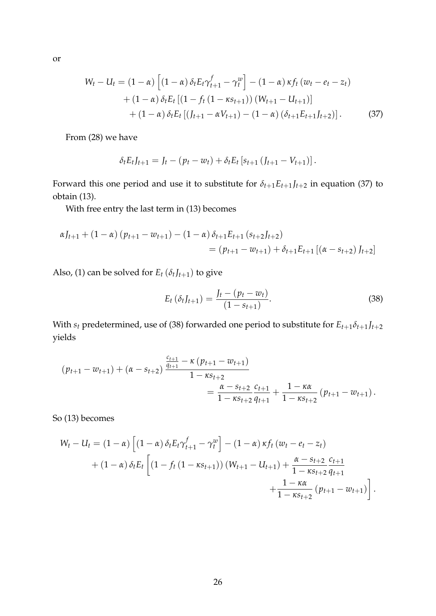or

$$
W_t - U_t = (1 - \alpha) \left[ (1 - \alpha) \delta_t E_t \gamma_{t+1}^f - \gamma_t^w \right] - (1 - \alpha) \kappa f_t (w_t - e_t - z_t)
$$
  
+ 
$$
(1 - \alpha) \delta_t E_t [(1 - f_t (1 - \kappa s_{t+1})) (W_{t+1} - U_{t+1})]
$$
  
+ 
$$
(1 - \alpha) \delta_t E_t [(J_{t+1} - \alpha V_{t+1}) - (1 - \alpha) (\delta_{t+1} E_{t+1} J_{t+2})].
$$
 (37)

From (28) we have

$$
\delta_t E_t J_{t+1} = J_t - (p_t - w_t) + \delta_t E_t [s_{t+1} (J_{t+1} - V_{t+1})].
$$

Forward this one period and use it to substitute for  $\delta_{t+1}E_{t+1}J_{t+2}$  in equation (37) to obtain (13).

With free entry the last term in (13) becomes

$$
\alpha J_{t+1} + (1 - \alpha) (p_{t+1} - w_{t+1}) - (1 - \alpha) \delta_{t+1} E_{t+1} (s_{t+2} J_{t+2})
$$
  
=  $(p_{t+1} - w_{t+1}) + \delta_{t+1} E_{t+1} [(\alpha - s_{t+2}) J_{t+2}]$ 

Also, (1) can be solved for  $E_t$  ( $\delta_t J_{t+1}$ ) to give

$$
E_t\left(\delta_t J_{t+1}\right) = \frac{J_t - (p_t - w_t)}{(1 - s_{t+1})}.\tag{38}
$$

With  $s_t$  predetermined, use of (38) forwarded one period to substitute for  $E_{t+1}\delta_{t+1}J_{t+2}$ yields

$$
(p_{t+1} - w_{t+1}) + (\alpha - s_{t+2}) \frac{\frac{c_{t+1}}{q_{t+1}} - \kappa (p_{t+1} - w_{t+1})}{1 - \kappa s_{t+2}} = \frac{\alpha - s_{t+2}}{1 - \kappa s_{t+2}} \frac{c_{t+1}}{q_{t+1}} + \frac{1 - \kappa \alpha}{1 - \kappa s_{t+2}} (p_{t+1} - w_{t+1}).
$$

So (13) becomes

$$
W_{t} - U_{t} = (1 - \alpha) \left[ (1 - \alpha) \delta_{t} E_{t} \gamma_{t+1}^{f} - \gamma_{t}^{w} \right] - (1 - \alpha) \kappa f_{t} \left( w_{t} - e_{t} - z_{t} \right) + (1 - \alpha) \delta_{t} E_{t} \left[ (1 - f_{t} (1 - \kappa s_{t+1})) \left( W_{t+1} - U_{t+1} \right) + \frac{\alpha - s_{t+2}}{1 - \kappa s_{t+2}} \frac{c_{t+1}}{q_{t+1}} + \frac{1 - \kappa \alpha}{1 - \kappa s_{t+2}} \left( p_{t+1} - w_{t+1} \right) \right].
$$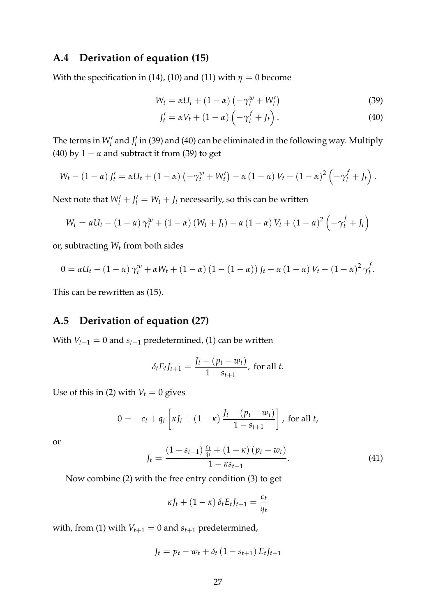#### **A.4 Derivation of equation (15)**

With the specification in (14), (10) and (11) with  $\eta = 0$  become

$$
W_t = \alpha U_t + (1 - \alpha) \left( -\gamma_t^w + W_t' \right) \tag{39}
$$

$$
J'_t = \alpha V_t + (1 - \alpha) \left( -\gamma_t^f + J_t \right). \tag{40}
$$

The terms in  $W_t'$  and  $J_t'$  in (39) and (40) can be eliminated in the following way. Multiply (40) by  $1 - \alpha$  and subtract it from (39) to get

$$
W_t-(1-\alpha) J'_t=\alpha U_t+(1-\alpha) \left(-\gamma_t^w+W'_t\right)-\alpha (1-\alpha) V_t+(1-\alpha)^2 \left(-\gamma_t^f+J_t\right).
$$

Next note that  $W'_t + J'_t = W_t + J_t$  necessarily, so this can be written

$$
W_t = \alpha U_t - (1 - \alpha) \gamma_t^w + (1 - \alpha) (W_t + J_t) - \alpha (1 - \alpha) V_t + (1 - \alpha)^2 \left( -\gamma_t^f + J_t \right)
$$

or, subtracting *W<sup>t</sup>* from both sides

$$
0 = \alpha U_t - (1 - \alpha) \gamma_t^w + \alpha W_t + (1 - \alpha) (1 - (1 - \alpha)) J_t - \alpha (1 - \alpha) V_t - (1 - \alpha)^2 \gamma_t^f.
$$

This can be rewritten as (15).

#### **A.5 Derivation of equation (27)**

With  $V_{t+1} = 0$  and  $s_{t+1}$  predetermined, (1) can be written

$$
\delta_t E_t J_{t+1} = \frac{J_t - (p_t - w_t)}{1 - s_{t+1}}, \text{ for all } t.
$$

Use of this in (2) with  $V_t = 0$  gives

$$
0 = -c_t + q_t \left[ \kappa J_t + (1 - \kappa) \frac{J_t - (p_t - w_t)}{1 - s_{t+1}} \right], \text{ for all } t,
$$

or

$$
J_t = \frac{(1 - s_{t+1})\frac{c_t}{q_t} + (1 - \kappa)(p_t - w_t)}{1 - \kappa s_{t+1}}.
$$
\n(41)

Now combine (2) with the free entry condition (3) to get

$$
\kappa J_t + (1 - \kappa) \, \delta_t E_t J_{t+1} = \frac{c_t}{q_t}
$$

with, from (1) with  $V_{t+1} = 0$  and  $s_{t+1}$  predetermined,

$$
J_t = p_t - w_t + \delta_t (1 - s_{t+1}) E_t J_{t+1}
$$